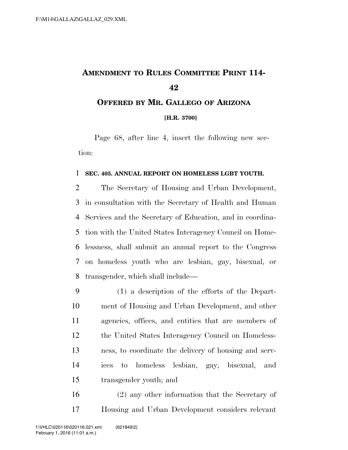## **AMENDMENT TO RULES COMMITTEE PRINT 114- OFFERED BY MR. GALLEGO OF ARIZONA**

**[H.R. 3700]**

Page 68, after line 4, insert the following new section:

## **SEC. 405. ANNUAL REPORT ON HOMELESS LGBT YOUTH.**

 The Secretary of Housing and Urban Development, in consultation with the Secretary of Health and Human Services and the Secretary of Education, and in coordina- tion with the United States Interagency Council on Home- lessness, shall submit an annual report to the Congress on homeless youth who are lesbian, gay, bisexual, or transgender, which shall include—

 (1) a description of the efforts of the Depart- ment of Housing and Urban Development, and other agencies, offices, and entities that are members of the United States Interagency Council on Homeless- ness, to coordinate the delivery of housing and serv- ices to homeless lesbian, gay, bisexual, and transgender youth; and

 (2) any other information that the Secretary of Housing and Urban Development considers relevant